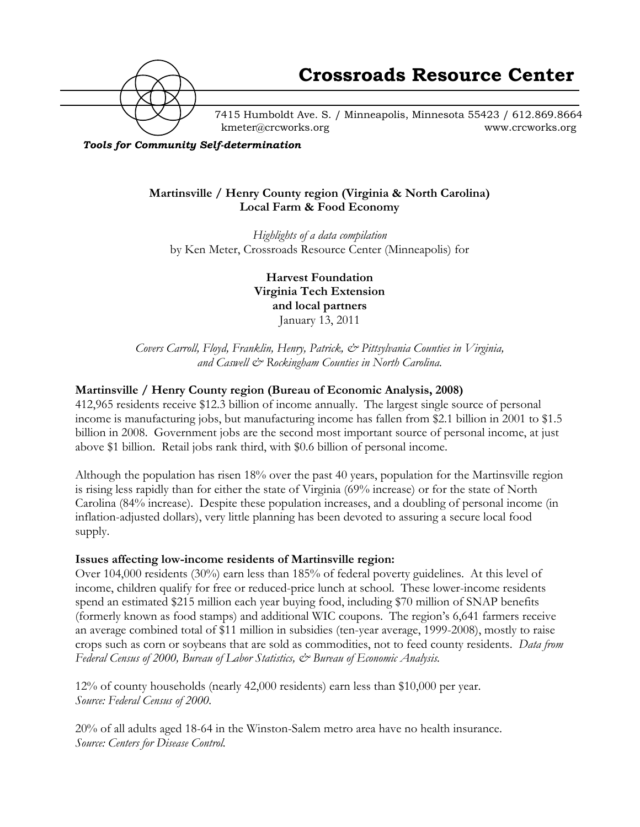

7415 Humboldt Ave. S. / Minneapolis, Minnesota 55423 / 612.869.8664 kmeter@crcworks.org www.crcworks.org

*Tools for Community Self-determination*

## **Martinsville / Henry County region (Virginia & North Carolina) Local Farm & Food Economy**

*Highlights of a data compilation* by Ken Meter, Crossroads Resource Center (Minneapolis) for

> **Harvest Foundation Virginia Tech Extension and local partners** January 13, 2011

*Covers Carroll, Floyd, Franklin, Henry, Patrick, & Pittsylvania Counties in Virginia, and Caswell & Rockingham Counties in North Carolina.*

## **Martinsville / Henry County region (Bureau of Economic Analysis, 2008)**

412,965 residents receive \$12.3 billion of income annually. The largest single source of personal income is manufacturing jobs, but manufacturing income has fallen from \$2.1 billion in 2001 to \$1.5 billion in 2008. Government jobs are the second most important source of personal income, at just above \$1 billion. Retail jobs rank third, with \$0.6 billion of personal income.

Although the population has risen 18% over the past 40 years, population for the Martinsville region is rising less rapidly than for either the state of Virginia (69% increase) or for the state of North Carolina (84% increase). Despite these population increases, and a doubling of personal income (in inflation-adjusted dollars), very little planning has been devoted to assuring a secure local food supply.

## **Issues affecting low-income residents of Martinsville region:**

Over 104,000 residents (30%) earn less than 185% of federal poverty guidelines. At this level of income, children qualify for free or reduced-price lunch at school. These lower-income residents spend an estimated \$215 million each year buying food, including \$70 million of SNAP benefits (formerly known as food stamps) and additional WIC coupons. The region's 6,641 farmers receive an average combined total of \$11 million in subsidies (ten-year average, 1999-2008), mostly to raise crops such as corn or soybeans that are sold as commodities, not to feed county residents. *Data from Federal Census of 2000, Bureau of Labor Statistics, & Bureau of Economic Analysis.*

12% of county households (nearly 42,000 residents) earn less than \$10,000 per year. *Source: Federal Census of 2000.*

20% of all adults aged 18-64 in the Winston-Salem metro area have no health insurance. *Source: Centers for Disease Control.*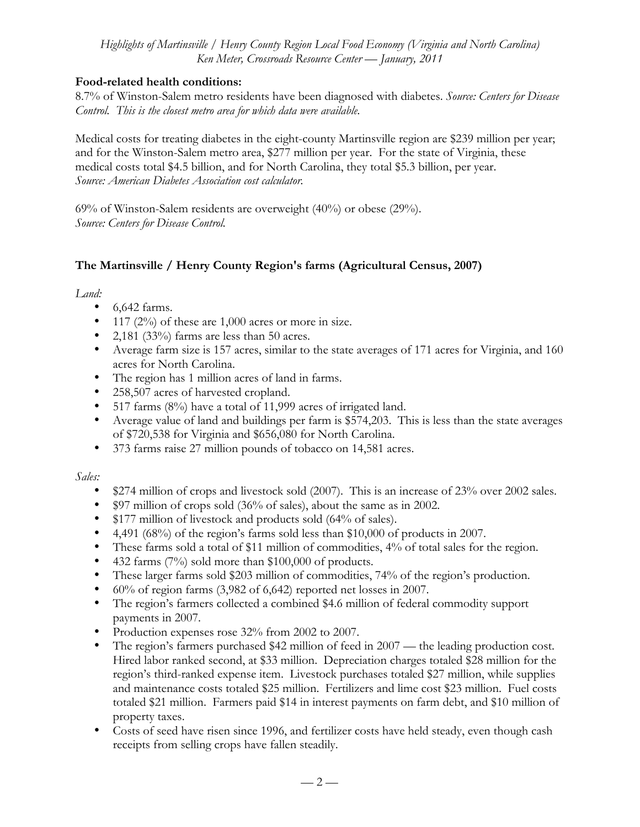## **Food-related health conditions:**

8.7% of Winston-Salem metro residents have been diagnosed with diabetes. *Source: Centers for Disease Control. This is the closest metro area for which data were available.*

Medical costs for treating diabetes in the eight-county Martinsville region are \$239 million per year; and for the Winston-Salem metro area, \$277 million per year. For the state of Virginia, these medical costs total \$4.5 billion, and for North Carolina, they total \$5.3 billion, per year. *Source: American Diabetes Association cost calculator.*

69% of Winston-Salem residents are overweight (40%) or obese (29%). *Source: Centers for Disease Control.*

# **The Martinsville / Henry County Region's farms (Agricultural Census, 2007)**

## *Land:*

- 6,642 farms.
- 117 (2%) of these are 1,000 acres or more in size.
- 2,181 (33%) farms are less than 50 acres.
- Average farm size is 157 acres, similar to the state averages of 171 acres for Virginia, and 160 acres for North Carolina.
- The region has 1 million acres of land in farms.
- 258,507 acres of harvested cropland.
- 517 farms (8%) have a total of 11,999 acres of irrigated land.
- Average value of land and buildings per farm is \$574,203. This is less than the state averages of \$720,538 for Virginia and \$656,080 for North Carolina.
- 373 farms raise 27 million pounds of tobacco on 14,581 acres.

# *Sales:*

- \$274 million of crops and livestock sold (2007). This is an increase of 23% over 2002 sales.
- \$97 million of crops sold (36% of sales), about the same as in 2002.
- \$177 million of livestock and products sold (64% of sales).
- 4,491 (68%) of the region's farms sold less than \$10,000 of products in 2007.
- These farms sold a total of \$11 million of commodities, 4% of total sales for the region.
- 432 farms (7%) sold more than \$100,000 of products.
- These larger farms sold \$203 million of commodities, 74% of the region's production.
- 60% of region farms (3,982 of 6,642) reported net losses in 2007.
- The region's farmers collected a combined \$4.6 million of federal commodity support payments in 2007.
- Production expenses rose 32% from 2002 to 2007.
- The region's farmers purchased \$42 million of feed in 2007 the leading production cost. Hired labor ranked second, at \$33 million. Depreciation charges totaled \$28 million for the region's third-ranked expense item. Livestock purchases totaled \$27 million, while supplies and maintenance costs totaled \$25 million. Fertilizers and lime cost \$23 million. Fuel costs totaled \$21 million. Farmers paid \$14 in interest payments on farm debt, and \$10 million of property taxes.
- Costs of seed have risen since 1996, and fertilizer costs have held steady, even though cash receipts from selling crops have fallen steadily.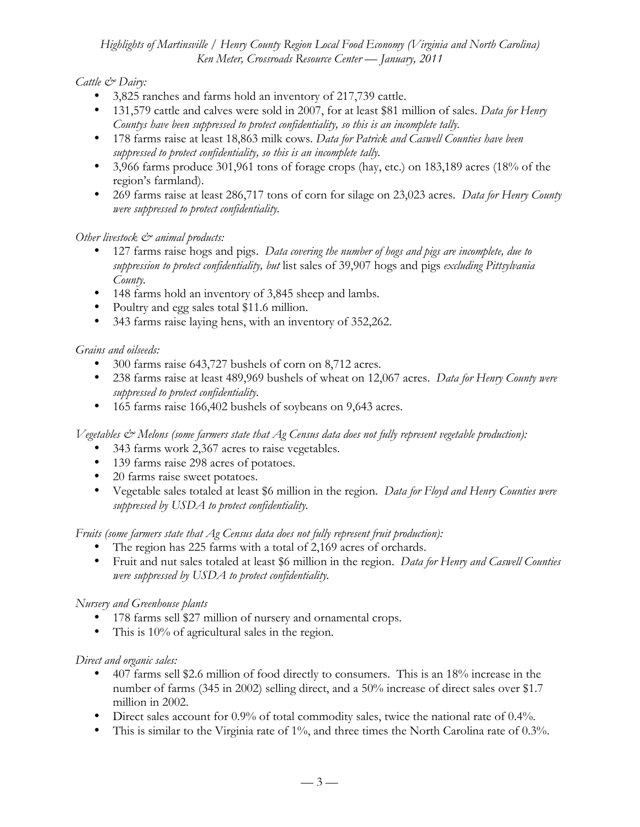# *Cattle & Dairy:*

- 3,825 ranches and farms hold an inventory of 217,739 cattle.
- 131,579 cattle and calves were sold in 2007, for at least \$81 million of sales. *Data for Henry Countys have been suppressed to protect confidentiality, so this is an incomplete tally.*
- 178 farms raise at least 18,863 milk cows. *Data for Patrick and Caswell Counties have been suppressed to protect confidentiality, so this is an incomplete tally.*
- 3,966 farms produce 301,961 tons of forage crops (hay, etc.) on 183,189 acres (18% of the region's farmland).
- 269 farms raise at least 286,717 tons of corn for silage on 23,023 acres. *Data for Henry County were suppressed to protect confidentiality.*

# *Other livestock & animal products:*

- 127 farms raise hogs and pigs. *Data covering the number of hogs and pigs are incomplete, due to suppression to protect confidentiality, but* list sales of 39,907 hogs and pigs *excluding Pittsylvania County.*
- 148 farms hold an inventory of 3,845 sheep and lambs.
- Poultry and egg sales total \$11.6 million.
- 343 farms raise laying hens, with an inventory of 352,262.

# *Grains and oilseeds:*

- 300 farms raise 643,727 bushels of corn on 8,712 acres.
- 238 farms raise at least 489,969 bushels of wheat on 12,067 acres. *Data for Henry County were suppressed to protect confidentiality.*
- 165 farms raise 166,402 bushels of soybeans on 9,643 acres.

*Vegetables & Melons (some farmers state that Ag Census data does not fully represent vegetable production):*

- 343 farms work 2,367 acres to raise vegetables.
- 139 farms raise 298 acres of potatoes.
- 20 farms raise sweet potatoes.
- Vegetable sales totaled at least \$6 million in the region. *Data for Floyd and Henry Counties were suppressed by USDA to protect confidentiality.*

*Fruits (some farmers state that Ag Census data does not fully represent fruit production):*

- The region has 225 farms with a total of 2,169 acres of orchards.
- Fruit and nut sales totaled at least \$6 million in the region. *Data for Henry and Caswell Counties were suppressed by USDA to protect confidentiality.*

# *Nursery and Greenhouse plants*

- 178 farms sell \$27 million of nursery and ornamental crops.
- This is 10% of agricultural sales in the region.

## *Direct and organic sales:*

- 407 farms sell \$2.6 million of food directly to consumers. This is an 18% increase in the number of farms (345 in 2002) selling direct, and a 50% increase of direct sales over \$1.7 million in 2002.
- Direct sales account for 0.9% of total commodity sales, twice the national rate of 0.4%.
- This is similar to the Virginia rate of 1%, and three times the North Carolina rate of 0.3%.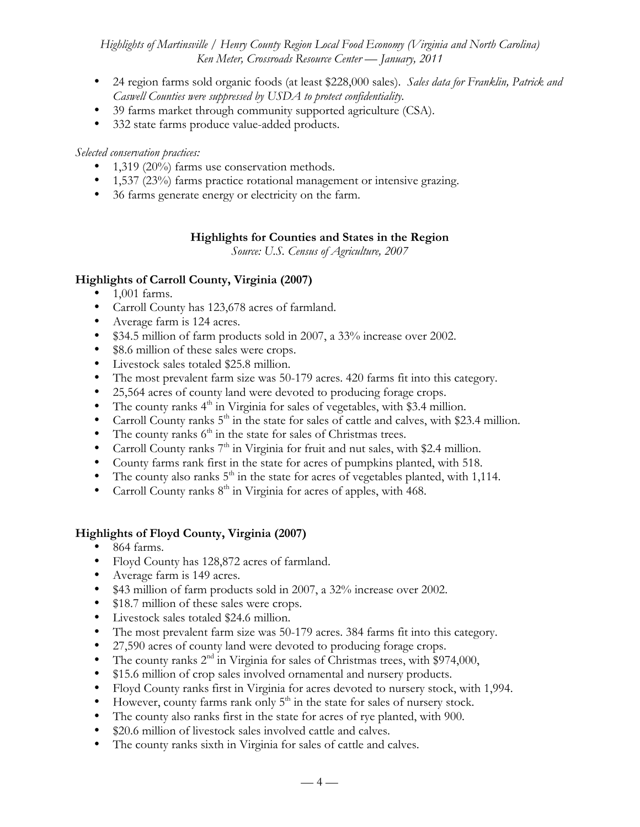- 24 region farms sold organic foods (at least \$228,000 sales). *Sales data for Franklin, Patrick and Caswell Counties were suppressed by USDA to protect confidentiality.*
- 39 farms market through community supported agriculture (CSA).
- 332 state farms produce value-added products.

## *Selected conservation practices:*

- 1,319 (20%) farms use conservation methods.
- 1,537 (23%) farms practice rotational management or intensive grazing.
- 36 farms generate energy or electricity on the farm.

## **Highlights for Counties and States in the Region**

*Source: U.S. Census of Agriculture, 2007*

# **Highlights of Carroll County, Virginia (2007)**

- 1,001 farms.
- Carroll County has 123,678 acres of farmland.
- Average farm is 124 acres.
- \$34.5 million of farm products sold in 2007, a 33% increase over 2002.
- \$8.6 million of these sales were crops.
- Livestock sales totaled \$25.8 million.
- The most prevalent farm size was 50-179 acres. 420 farms fit into this category.
- 25,564 acres of county land were devoted to producing forage crops.
- The county ranks  $4<sup>th</sup>$  in Virginia for sales of vegetables, with \$3.4 million.
- Carroll County ranks  $5<sup>th</sup>$  in the state for sales of cattle and calves, with \$23.4 million.
- The county ranks  $6<sup>th</sup>$  in the state for sales of Christmas trees.
- Carroll County ranks  $7<sup>th</sup>$  in Virginia for fruit and nut sales, with \$2.4 million.
- County farms rank first in the state for acres of pumpkins planted, with 518.
- The county also ranks  $5<sup>th</sup>$  in the state for acres of vegetables planted, with 1,114.
- Carroll County ranks  $8<sup>th</sup>$  in Virginia for acres of apples, with 468.

# **Highlights of Floyd County, Virginia (2007)**

- 864 farms.
- Floyd County has 128,872 acres of farmland.
- Average farm is 149 acres.
- \$43 million of farm products sold in 2007, a 32% increase over 2002.
- \$18.7 million of these sales were crops.
- Livestock sales totaled \$24.6 million.
- The most prevalent farm size was 50-179 acres. 384 farms fit into this category.
- 27,590 acres of county land were devoted to producing forage crops.
- The county ranks  $2<sup>nd</sup>$  in Virginia for sales of Christmas trees, with \$974,000,
- \$15.6 million of crop sales involved ornamental and nursery products.
- Floyd County ranks first in Virginia for acres devoted to nursery stock, with 1,994.
- $\bullet$  However, county farms rank only  $5^{\text{th}}$  in the state for sales of nursery stock.
- The county also ranks first in the state for acres of rye planted, with 900.
- \$20.6 million of livestock sales involved cattle and calves.
- The county ranks sixth in Virginia for sales of cattle and calves.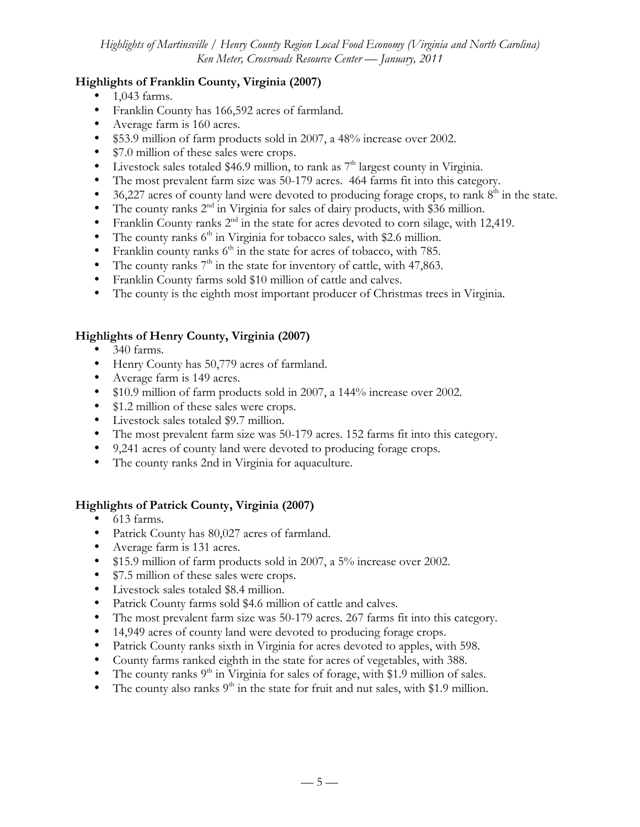# **Highlights of Franklin County, Virginia (2007)**

- 1,043 farms.
- Franklin County has 166,592 acres of farmland.
- Average farm is 160 acres.
- \$53.9 million of farm products sold in 2007, a 48% increase over 2002.
- \$7.0 million of these sales were crops.
- Livestock sales totaled \$46.9 million, to rank as  $7<sup>th</sup>$  largest county in Virginia.
- The most prevalent farm size was 50-179 acres. 464 farms fit into this category.
- 36,227 acres of county land were devoted to producing forage crops, to rank  $8<sup>th</sup>$  in the state.
- The county ranks 2<sup>nd</sup> in Virginia for sales of dairy products, with \$36 million.
- Franklin County ranks  $2<sup>nd</sup>$  in the state for acres devoted to corn silage, with 12,419.
- The county ranks  $6<sup>th</sup>$  in Virginia for tobacco sales, with \$2.6 million.
- Franklin county ranks  $6<sup>th</sup>$  in the state for acres of tobacco, with 785.
- The county ranks  $7<sup>th</sup>$  in the state for inventory of cattle, with 47,863.
- Franklin County farms sold \$10 million of cattle and calves.
- The county is the eighth most important producer of Christmas trees in Virginia.

# **Highlights of Henry County, Virginia (2007)**

- 340 farms.
- Henry County has 50,779 acres of farmland.
- Average farm is 149 acres.
- \$10.9 million of farm products sold in 2007, a 144% increase over 2002.
- \$1.2 million of these sales were crops.
- Livestock sales totaled \$9.7 million.
- The most prevalent farm size was 50-179 acres. 152 farms fit into this category.
- 9,241 acres of county land were devoted to producing forage crops.
- The county ranks 2nd in Virginia for aquaculture.

# **Highlights of Patrick County, Virginia (2007)**

- 613 farms.
- Patrick County has 80,027 acres of farmland.
- Average farm is 131 acres.
- \$15.9 million of farm products sold in 2007, a 5% increase over 2002.
- \$7.5 million of these sales were crops.
- Livestock sales totaled \$8.4 million.
- Patrick County farms sold \$4.6 million of cattle and calves.
- The most prevalent farm size was 50-179 acres. 267 farms fit into this category.
- 14,949 acres of county land were devoted to producing forage crops.
- Patrick County ranks sixth in Virginia for acres devoted to apples, with 598.
- County farms ranked eighth in the state for acres of vegetables, with 388.
- The county ranks  $9<sup>th</sup>$  in Virginia for sales of forage, with \$1.9 million of sales.
- The county also ranks  $9<sup>th</sup>$  in the state for fruit and nut sales, with \$1.9 million.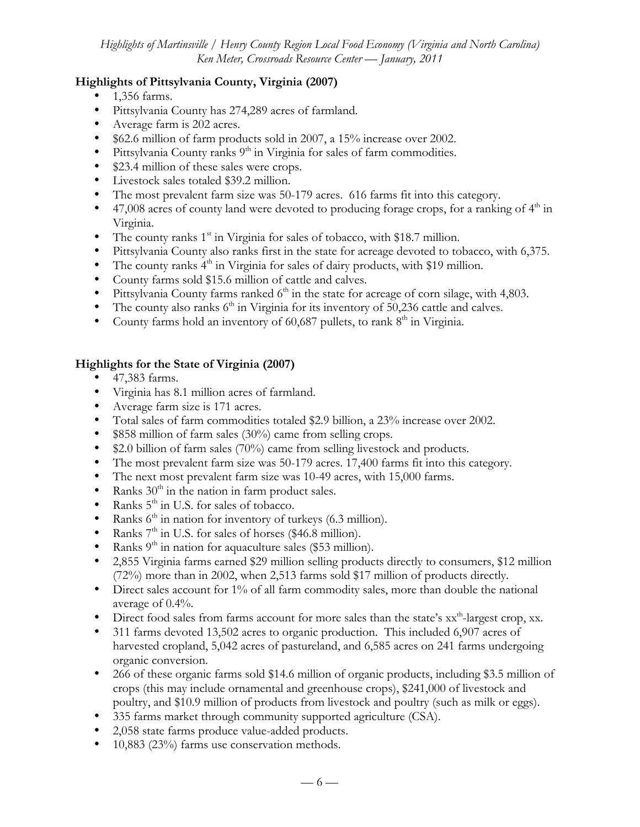# **Highlights of Pittsylvania County, Virginia (2007)**

- 1,356 farms.
- Pittsylvania County has 274,289 acres of farmland.
- Average farm is 202 acres.
- \$62.6 million of farm products sold in 2007, a 15% increase over 2002.
- Pittsylvania County ranks  $9<sup>th</sup>$  in Virginia for sales of farm commodities.
- \$23.4 million of these sales were crops.
- Livestock sales totaled \$39.2 million.
- The most prevalent farm size was 50-179 acres. 616 farms fit into this category.
- 47,008 acres of county land were devoted to producing forage crops, for a ranking of  $4<sup>th</sup>$  in Virginia.
- The county ranks  $1<sup>st</sup>$  in Virginia for sales of tobacco, with \$18.7 million.
- Pittsylvania County also ranks first in the state for acreage devoted to tobacco, with 6,375.
- The county ranks  $4<sup>th</sup>$  in Virginia for sales of dairy products, with \$19 million.
- County farms sold \$15.6 million of cattle and calves.
- Pittsylvania County farms ranked  $6<sup>th</sup>$  in the state for acreage of corn silage, with 4,803.
- The county also ranks  $6<sup>th</sup>$  in Virginia for its inventory of 50,236 cattle and calves.
- County farms hold an inventory of  $60,687$  pullets, to rank  $8<sup>th</sup>$  in Virginia.

# **Highlights for the State of Virginia (2007)**

- 47,383 farms.
- Virginia has 8.1 million acres of farmland.
- Average farm size is 171 acres.
- Total sales of farm commodities totaled \$2.9 billion, a 23% increase over 2002.
- \$858 million of farm sales (30%) came from selling crops.
- \$2.0 billion of farm sales (70%) came from selling livestock and products.
- The most prevalent farm size was 50-179 acres. 17,400 farms fit into this category.
- The next most prevalent farm size was 10-49 acres, with 15,000 farms.
- Ranks  $30<sup>th</sup>$  in the nation in farm product sales.
- Ranks  $5<sup>th</sup>$  in U.S. for sales of tobacco.
- Ranks  $6<sup>th</sup>$  in nation for inventory of turkeys (6.3 million).
- Ranks  $7<sup>th</sup>$  in U.S. for sales of horses (\$46.8 million).
- Ranks  $9<sup>th</sup>$  in nation for aquaculture sales (\$53 million).
- 2,855 Virginia farms earned \$29 million selling products directly to consumers, \$12 million (72%) more than in 2002, when 2,513 farms sold \$17 million of products directly.
- Direct sales account for 1% of all farm commodity sales, more than double the national average of 0.4%.
- Direct food sales from farms account for more sales than the state's  $xx^{\text{th}}$ -largest crop, xx.
- 311 farms devoted 13,502 acres to organic production. This included 6,907 acres of harvested cropland, 5,042 acres of pastureland, and 6,585 acres on 241 farms undergoing organic conversion.
- 266 of these organic farms sold \$14.6 million of organic products, including \$3.5 million of crops (this may include ornamental and greenhouse crops), \$241,000 of livestock and poultry, and \$10.9 million of products from livestock and poultry (such as milk or eggs).
- 335 farms market through community supported agriculture (CSA).
- 2,058 state farms produce value-added products.
- 10,883 (23%) farms use conservation methods.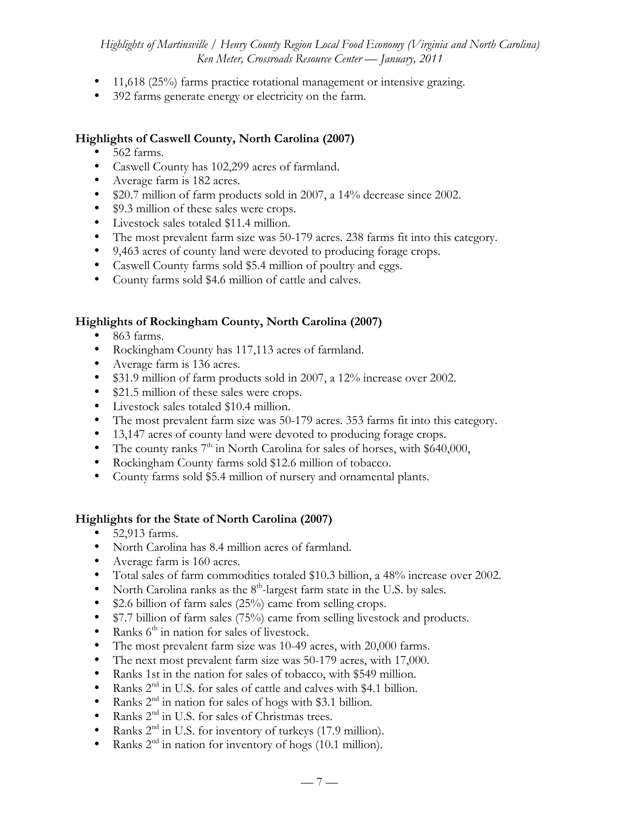- 11,618 (25%) farms practice rotational management or intensive grazing.
- 392 farms generate energy or electricity on the farm.

## **Highlights of Caswell County, North Carolina (2007)**

- 562 farms.
- Caswell County has 102,299 acres of farmland.
- Average farm is 182 acres.
- \$20.7 million of farm products sold in 2007, a 14% decrease since 2002.
- \$9.3 million of these sales were crops.
- Livestock sales totaled \$11.4 million.
- The most prevalent farm size was 50-179 acres. 238 farms fit into this category.
- 9,463 acres of county land were devoted to producing forage crops.
- Caswell County farms sold \$5.4 million of poultry and eggs.
- County farms sold \$4.6 million of cattle and calves.

## **Highlights of Rockingham County, North Carolina (2007)**

- 863 farms.
- Rockingham County has 117,113 acres of farmland.
- Average farm is 136 acres.
- \$31.9 million of farm products sold in 2007, a 12% increase over 2002.
- \$21.5 million of these sales were crops.
- Livestock sales totaled \$10.4 million.
- The most prevalent farm size was 50-179 acres. 353 farms fit into this category.
- 13,147 acres of county land were devoted to producing forage crops.
- The county ranks  $7<sup>th</sup>$  in North Carolina for sales of horses, with \$640,000,
- Rockingham County farms sold \$12.6 million of tobacco.
- County farms sold \$5.4 million of nursery and ornamental plants.

## **Highlights for the State of North Carolina (2007)**

- 52,913 farms.
- North Carolina has 8.4 million acres of farmland.
- Average farm is 160 acres.
- Total sales of farm commodities totaled \$10.3 billion, a 48% increase over 2002.
- North Carolina ranks as the  $8<sup>th</sup>$ -largest farm state in the U.S. by sales.
- \$2.6 billion of farm sales (25%) came from selling crops.
- \$7.7 billion of farm sales (75%) came from selling livestock and products.
- Ranks  $6<sup>th</sup>$  in nation for sales of livestock.
- The most prevalent farm size was 10-49 acres, with 20,000 farms.
- The next most prevalent farm size was 50-179 acres, with 17,000.
- Ranks 1st in the nation for sales of tobacco, with \$549 million.
- Ranks  $2^{nd}$  in U.S. for sales of cattle and calves with \$4.1 billion.<br>• Ranks  $2^{nd}$  in pation for sales of hoos with \$3.1 billion.
- Ranks  $2<sup>nd</sup>$  in nation for sales of hogs with \$3.1 billion.
- Ranks  $2<sup>nd</sup>$  in U.S. for sales of Christmas trees.<br>• Ranks  $2<sup>nd</sup>$  in U.S. for inventory of turkeys (17)
- Ranks  $2<sup>nd</sup>$  in U.S. for inventory of turkeys (17.9 million).<br>• Ranks  $2<sup>nd</sup>$  in pation for inventory of bogs (10.1 million).
- Ranks  $2<sup>nd</sup>$  in nation for inventory of hogs (10.1 million).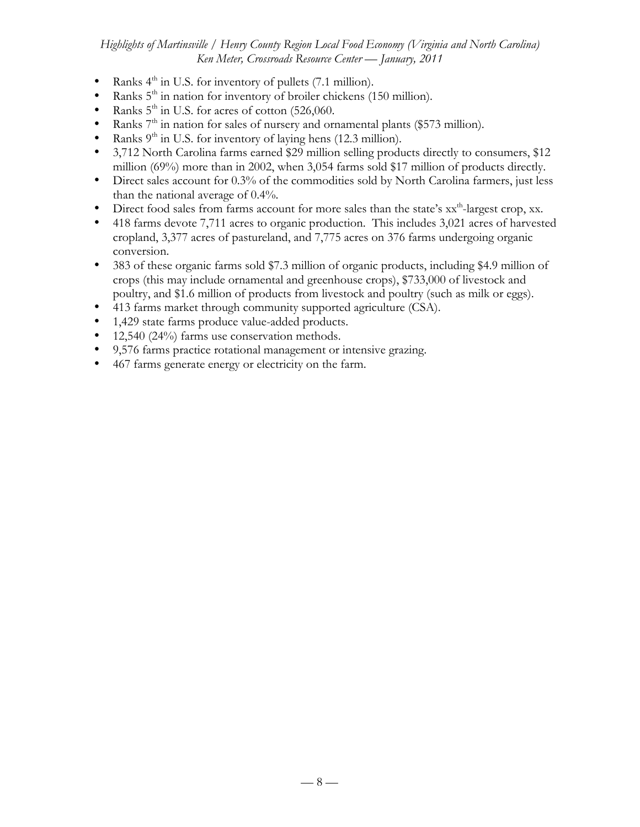- Ranks 4<sup>th</sup> in U.S. for inventory of pullets (7.1 million).
- Ranks  $5<sup>th</sup>$  in nation for inventory of broiler chickens (150 million).
- Ranks  $5<sup>th</sup>$  in U.S. for acres of cotton (526,060.
- Ranks  $7<sup>th</sup>$  in nation for sales of nursery and ornamental plants (\$573 million).
- Ranks  $9<sup>th</sup>$  in U.S. for inventory of laying hens (12.3 million).
- 3,712 North Carolina farms earned \$29 million selling products directly to consumers, \$12 million (69%) more than in 2002, when 3,054 farms sold \$17 million of products directly.
- Direct sales account for 0.3% of the commodities sold by North Carolina farmers, just less than the national average of 0.4%.
- Direct food sales from farms account for more sales than the state's  $xx<sup>th</sup>$ -largest crop, xx.
- 418 farms devote 7,711 acres to organic production. This includes 3,021 acres of harvested cropland, 3,377 acres of pastureland, and 7,775 acres on 376 farms undergoing organic conversion.
- 383 of these organic farms sold \$7.3 million of organic products, including \$4.9 million of crops (this may include ornamental and greenhouse crops), \$733,000 of livestock and poultry, and \$1.6 million of products from livestock and poultry (such as milk or eggs).
- 413 farms market through community supported agriculture (CSA).
- 1,429 state farms produce value-added products.
- 12,540 (24%) farms use conservation methods.
- 9,576 farms practice rotational management or intensive grazing.
- 467 farms generate energy or electricity on the farm.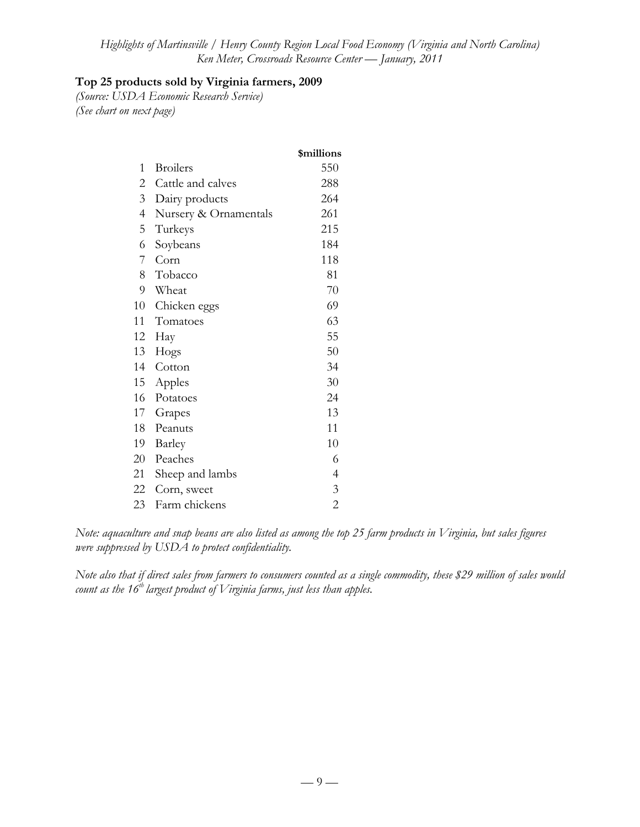# **Top 25 products sold by Virginia farmers, 2009**

*(Source: USDA Economic Research Service) (See chart on next page)*

|                          |                       | \$millions     |
|--------------------------|-----------------------|----------------|
| 1                        | <b>Broilers</b>       | 550            |
| 2                        | Cattle and calves     | 288            |
| 3                        | Dairy products        | 264            |
| $\overline{\mathcal{A}}$ | Nursery & Ornamentals | 261            |
| 5                        | Turkeys               | 215            |
| 6                        | Soybeans              | 184            |
| 7                        | Corn                  | 118            |
|                          | 8 Tobacco             | 81             |
| 9                        | Wheat                 | 70             |
| 10                       | Chicken eggs          | 69             |
| 11                       | Tomatoes              | 63             |
| 12                       | Hay                   | 55             |
| 13                       | Hogs                  | 50             |
| 14                       | Cotton                | 34             |
| 15                       | Apples                | 30             |
| 16                       | Potatoes              | 24             |
| 17 <sup>7</sup>          | Grapes                | 13             |
| 18                       | Peanuts               | 11             |
| 19                       | Barley                | 10             |
| 20                       | Peaches               | 6              |
| 21                       | Sheep and lambs       | $\overline{4}$ |
| 22                       | Corn, sweet           | $\mathfrak{Z}$ |
| 23                       | Farm chickens         | $\overline{2}$ |

*Note: aquaculture and snap beans are also listed as among the top 25 farm products in Virginia, but sales figures were suppressed by USDA to protect confidentiality.*

*Note also that if direct sales from farmers to consumers counted as a single commodity, these \$29 million of sales would count as the 16th largest product of Virginia farms, just less than apples.*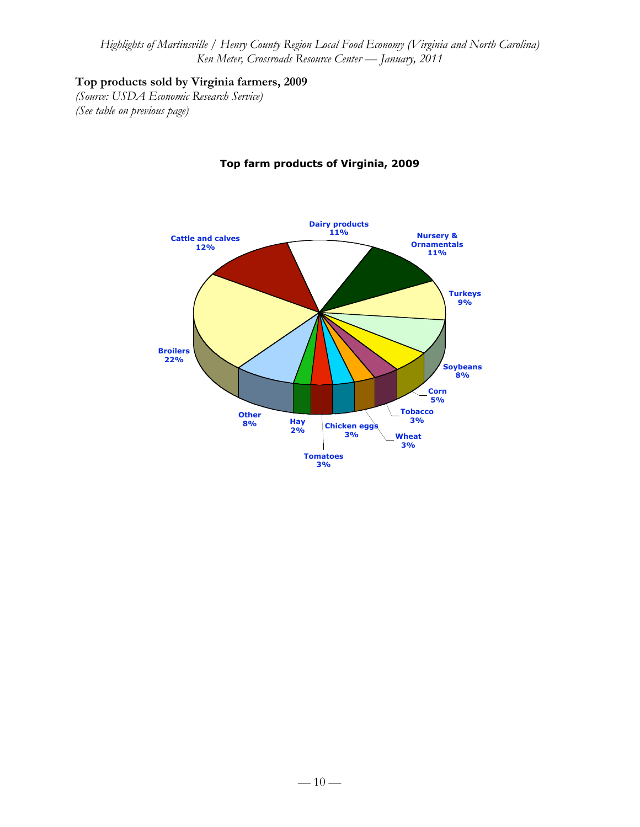# **Top products sold by Virginia farmers, 2009**

*(Source: USDA Economic Research Service) (See table on previous page)*



# **Top farm products of Virginia, 2009**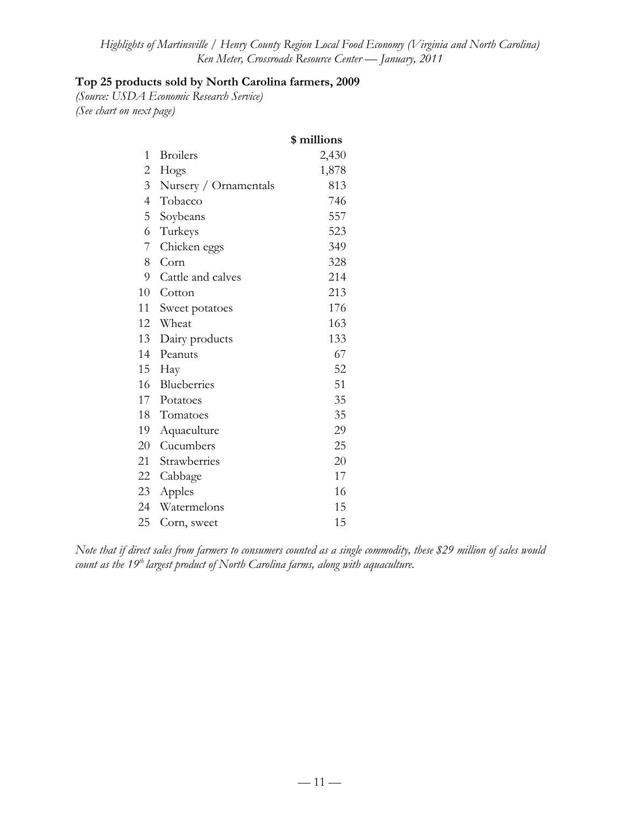# **Top 25 products sold by North Carolina farmers, 2009**

*(Source: USDA Economic Research Service) (See chart on next page)*

|                |                       | \$ millions |
|----------------|-----------------------|-------------|
| 1              | <b>Broilers</b>       | 2,430       |
| $\overline{2}$ | Hogs                  | 1,878       |
| 3 <sup>1</sup> | Nursery / Ornamentals | 813         |
| $\overline{4}$ | Tobacco               | 746         |
| 5              | Soybeans              | 557         |
| 6              | Turkeys               | 523         |
| 7              | Chicken eggs          | 349         |
| 8              | Corn                  | 328         |
| 9              | Cattle and calves     | 214         |
| 10             | Cotton                | 213         |
| 11             | Sweet potatoes        | 176         |
| 12             | Wheat                 | 163         |
| 13             | Dairy products        | 133         |
| 14             | Peanuts               | 67          |
| 15             | Hay                   | 52          |
| 16             | Blueberries           | 51          |
| 17             | Potatoes              | 35          |
| 18             | Tomatoes              | 35          |
| 19             | Aquaculture           | 29          |
| 20             | Cucumbers             | 25          |
| 21             | Strawberries          | 20          |
| 22             | Cabbage               | 17          |
| 23             | Apples                | 16          |
| 24             | Watermelons           | 15          |
| 25             | Corn, sweet           | 15          |

*Note that if direct sales from farmers to consumers counted as a single commodity, these \$29 million of sales would count as the 19th largest product of North Carolina farms, along with aquaculture.*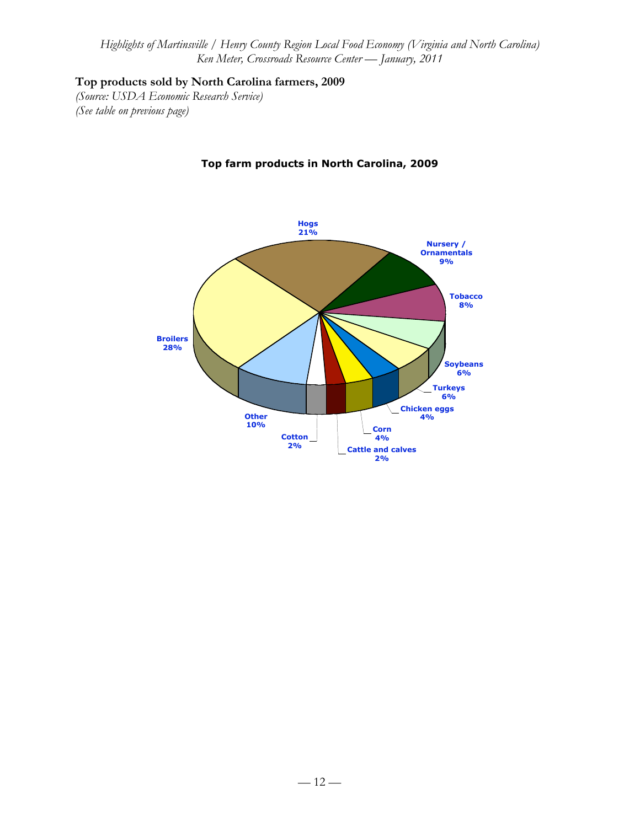# **Top products sold by North Carolina farmers, 2009**

*(Source: USDA Economic Research Service) (See table on previous page)*



## **Top farm products in North Carolina, 2009**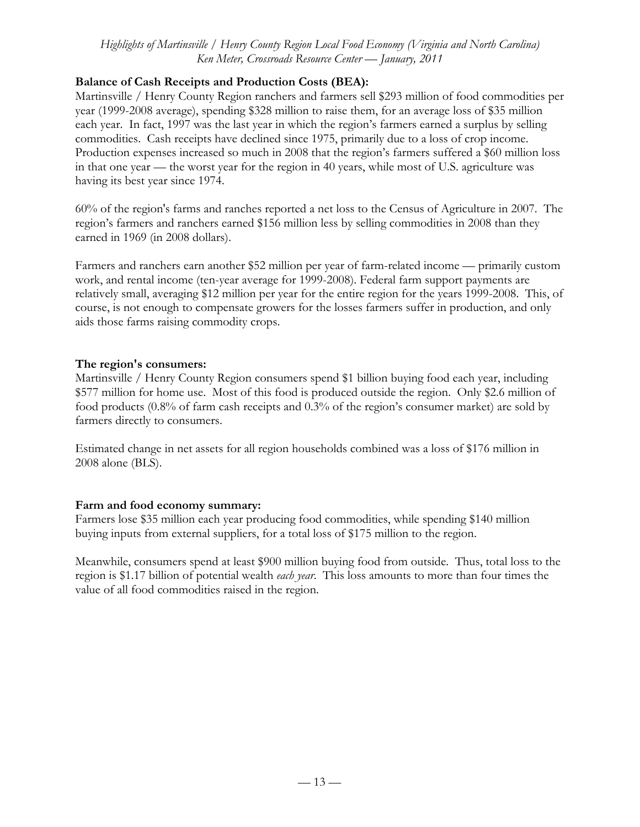## **Balance of Cash Receipts and Production Costs (BEA):**

Martinsville / Henry County Region ranchers and farmers sell \$293 million of food commodities per year (1999-2008 average), spending \$328 million to raise them, for an average loss of \$35 million each year. In fact, 1997 was the last year in which the region's farmers earned a surplus by selling commodities. Cash receipts have declined since 1975, primarily due to a loss of crop income. Production expenses increased so much in 2008 that the region's farmers suffered a \$60 million loss in that one year — the worst year for the region in 40 years, while most of U.S. agriculture was having its best year since 1974.

60% of the region's farms and ranches reported a net loss to the Census of Agriculture in 2007. The region's farmers and ranchers earned \$156 million less by selling commodities in 2008 than they earned in 1969 (in 2008 dollars).

Farmers and ranchers earn another \$52 million per year of farm-related income — primarily custom work, and rental income (ten-year average for 1999-2008). Federal farm support payments are relatively small, averaging \$12 million per year for the entire region for the years 1999-2008. This, of course, is not enough to compensate growers for the losses farmers suffer in production, and only aids those farms raising commodity crops.

## **The region's consumers:**

Martinsville / Henry County Region consumers spend \$1 billion buying food each year, including \$577 million for home use. Most of this food is produced outside the region. Only \$2.6 million of food products (0.8% of farm cash receipts and 0.3% of the region's consumer market) are sold by farmers directly to consumers.

Estimated change in net assets for all region households combined was a loss of \$176 million in 2008 alone (BLS).

# **Farm and food economy summary:**

Farmers lose \$35 million each year producing food commodities, while spending \$140 million buying inputs from external suppliers, for a total loss of \$175 million to the region.

Meanwhile, consumers spend at least \$900 million buying food from outside. Thus, total loss to the region is \$1.17 billion of potential wealth *each year*. This loss amounts to more than four times the value of all food commodities raised in the region.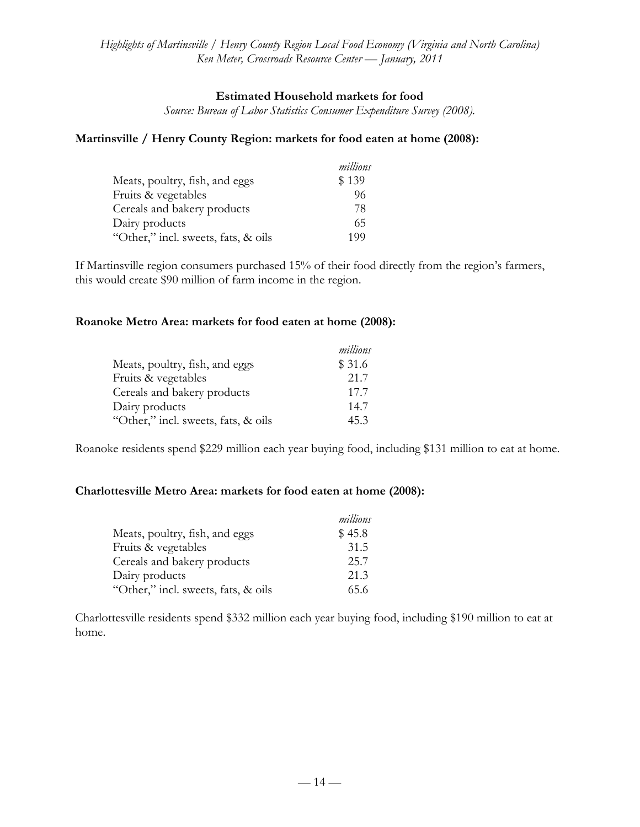## **Estimated Household markets for food**

*Source: Bureau of Labor Statistics Consumer Expenditure Survey (2008).*

### **Martinsville / Henry County Region: markets for food eaten at home (2008):**

|                                     | millions |
|-------------------------------------|----------|
| Meats, poultry, fish, and eggs      | \$139    |
| Fruits & vegetables                 | 96       |
| Cereals and bakery products         | 78       |
| Dairy products                      | 65       |
| "Other," incl. sweets, fats, & oils | 199      |

If Martinsville region consumers purchased 15% of their food directly from the region's farmers, this would create \$90 million of farm income in the region.

### **Roanoke Metro Area: markets for food eaten at home (2008):**

|                                     | millions |
|-------------------------------------|----------|
| Meats, poultry, fish, and eggs      | \$31.6   |
| Fruits & vegetables                 | 21.7     |
| Cereals and bakery products         | 17.7     |
| Dairy products                      | 14.7     |
| "Other," incl. sweets, fats, & oils | 45.3     |

Roanoke residents spend \$229 million each year buying food, including \$131 million to eat at home.

## **Charlottesville Metro Area: markets for food eaten at home (2008):**

|                                     | millions |
|-------------------------------------|----------|
| Meats, poultry, fish, and eggs      | \$45.8   |
| Fruits & vegetables                 | 31.5     |
| Cereals and bakery products         | 25.7     |
| Dairy products                      | 21.3     |
| "Other," incl. sweets, fats, & oils | 65.6     |

Charlottesville residents spend \$332 million each year buying food, including \$190 million to eat at home.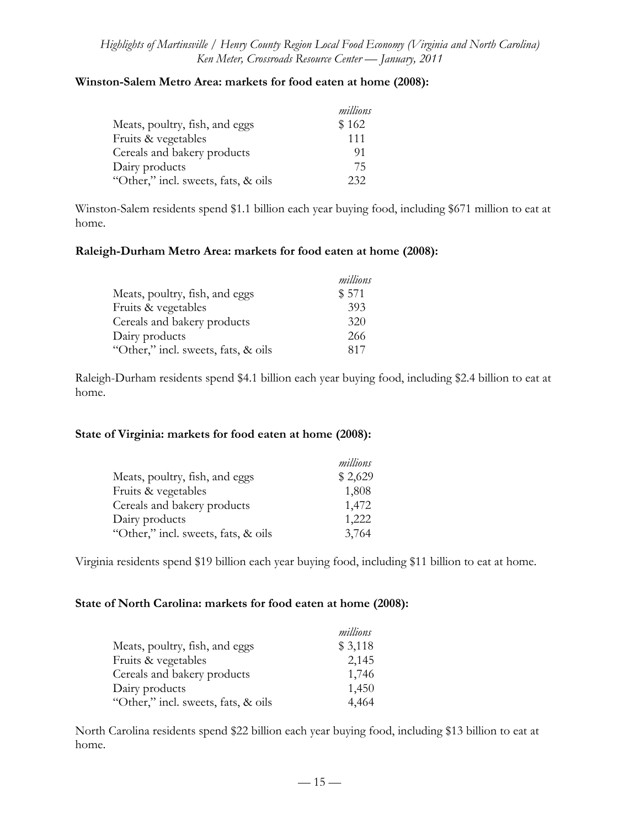## **Winston-Salem Metro Area: markets for food eaten at home (2008):**

|                                     | millions |
|-------------------------------------|----------|
| Meats, poultry, fish, and eggs      | \$162    |
| Fruits & vegetables                 | 111      |
| Cereals and bakery products         | 91       |
| Dairy products                      | 75       |
| "Other," incl. sweets, fats, & oils | 232      |

Winston-Salem residents spend \$1.1 billion each year buying food, including \$671 million to eat at home.

### **Raleigh-Durham Metro Area: markets for food eaten at home (2008):**

|                                     | millions |
|-------------------------------------|----------|
| Meats, poultry, fish, and eggs      | \$571    |
| Fruits & vegetables                 | 393      |
| Cereals and bakery products         | 320      |
| Dairy products                      | 266      |
| "Other," incl. sweets, fats, & oils | 817      |

Raleigh-Durham residents spend \$4.1 billion each year buying food, including \$2.4 billion to eat at home.

### **State of Virginia: markets for food eaten at home (2008):**

|                                     | millions |
|-------------------------------------|----------|
| Meats, poultry, fish, and eggs      | \$2,629  |
| Fruits & vegetables                 | 1,808    |
| Cereals and bakery products         | 1,472    |
| Dairy products                      | 1,222    |
| "Other," incl. sweets, fats, & oils | 3,764    |

Virginia residents spend \$19 billion each year buying food, including \$11 billion to eat at home.

### **State of North Carolina: markets for food eaten at home (2008):**

|                                     | millions |
|-------------------------------------|----------|
| Meats, poultry, fish, and eggs      | \$3,118  |
| Fruits & vegetables                 | 2,145    |
| Cereals and bakery products         | 1,746    |
| Dairy products                      | 1,450    |
| "Other," incl. sweets, fats, & oils | 4,464    |

North Carolina residents spend \$22 billion each year buying food, including \$13 billion to eat at home.